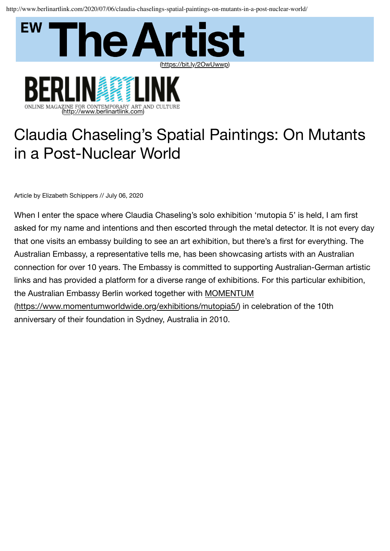http://www.berlinartlink.com/2020/07/06/claudia-chaselings-spatial-paintings-on-mutants-in-a-post-nuclear-world/



INE FOR CONTEMPORARY ART AND CULTURE



Article by Elizabeth Schippers // July 06, 2020

ONLINE MAGAZ

(http://www.berlinartlink.com)

When I enter the space where Claudia Chaseling's solo exhibition 'mutopia 5' is held, I am first asked for my name and intentions and then escorted through the metal detector. It is not every day that one visits an embassy building to see an art exhibition, but there's a first for everything. The Australian Embassy, a representative tells me, has been showcasing artists with an Australian connection for over 10 years. The Embassy is committed to supporting Australian-German artistic links and has provided a platform for a diverse range of exhibitions. For this particular exhibition, the Australian Embassy Berlin worked together with MOMENTUM (https://www.momentumworldwide.org/exhibitions/mutopia5/) in celebration of the 10th anniversary of their foundation in Sydney, Australia in 2010.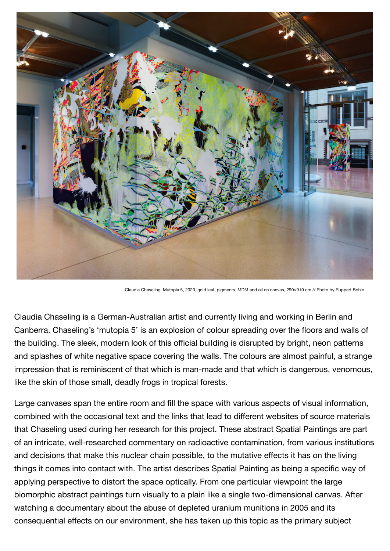

Claudia Chaseling: Mutopia 5, 2020, gold leaf, pigments, MDM and oil on canvas, 290×910 cm // Photo by Ruppert Bohle

Claudia Chaseling is a German-Australian artist and currently living and working in Berlin and Canberra. Chaseling's 'mutopia 5' is an explosion of colour spreading over the floors and walls of the building. The sleek, modern look of this official building is disrupted by bright, neon patterns and splashes of white negative space covering the walls. The colours are almost painful, a strange impression that is reminiscent of that which is man-made and that which is dangerous, venomous, like the skin of those small, deadly frogs in tropical forests.

Large canvases span the entire room and fill the space with various aspects of visual information, combined with the occasional text and the links that lead to different websites of source materials that Chaseling used during her research for this project. These abstract Spatial Paintings are part of an intricate, well-researched commentary on radioactive contamination, from various institutions and decisions that make this nuclear chain possible, to the mutative effects it has on the living things it comes into contact with. The artist describes Spatial Painting as being a specific way of applying perspective to distort the space optically. From one particular viewpoint the large biomorphic abstract paintings turn visually to a plain like a single two-dimensional canvas. After watching a documentary about the abuse of depleted uranium munitions in 2005 and its consequential effects on our environment, she has taken up this topic as the primary subject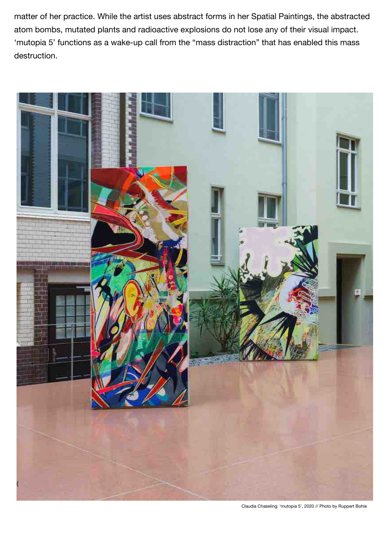matter of her practice. While the artist uses abstract forms in her Spatial Paintings, the abstracted atom bombs, mutated plants and radioactive explosions do not lose any of their visual impact. 'mutopia 5' functions as a wake-up call from the "mass distraction" that has enabled this mass destruction.



Claudia Chaseling: 'mutopia 5', 2020 // Photo by Ruppert Bohle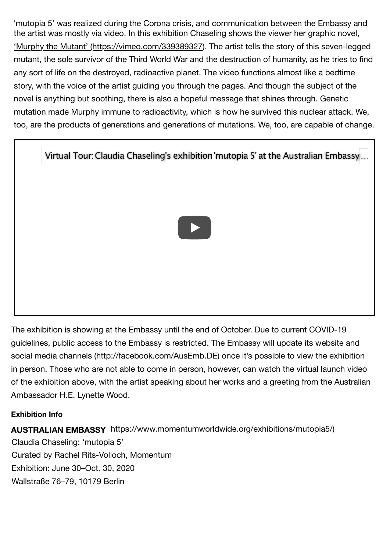the artist was mostly via video. In this exhibition Chaseling shows the viewer her graphic novel, 'Murphy the Mutant' (https://vimeo.com/339389327). The artist tells the story of this seven-legged mutant, the sole survivor of the Third World War and the destruction of humanity, as he tries to find any sort of life on the destroyed, radioactive planet. The video functions almost like a bedtime story, with the voice of the artist guiding you through the pages. And though the subject of the novel is anything but soothing, there is also a hopeful message that shines through. Genetic mutation made Murphy immune to radioactivity, which is how he survived this nuclear attack. We, too, are the products of generations and generations of mutations. We, too, are capable of change. 'mutopia 5' was realized during the Corona crisis, and communication between the Embassy and



The exhibition is showing at the Embassy until the end of October. Due to current COVID-19 guidelines, public access to the Embassy is restricted. The Embassy will update its website and social media channels (http://facebook.com/AusEmb.DE) once it's possible to view the exhibition in person. Those who are not able to come in person, however, can watch the virtual launch video of the exhibition above, with the artist speaking about her works and a greeting from the Australian Ambassador H.E. Lynette Wood.

## **Exhibition Info**

**AUSTRALIAN EMBASSY** https://www.momentumworldwide.org/exhibitions/mutopia5/) Claudia Chaseling: 'mutopia 5' Curated by Rachel Rits-Volloch, Momentum Exhibition: June 30–Oct. 30, 2020 Wallstraße 76–79, 10179 Berlin